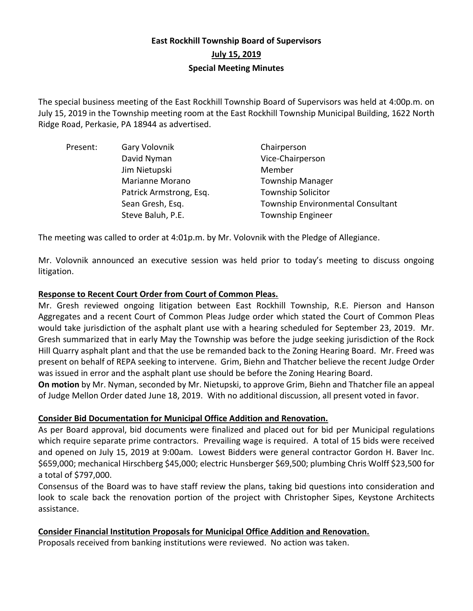# **East Rockhill Township Board of Supervisors July 15, 2019 Special Meeting Minutes**

The special business meeting of the East Rockhill Township Board of Supervisors was held at 4:00p.m. on July 15, 2019 in the Township meeting room at the East Rockhill Township Municipal Building, 1622 North Ridge Road, Perkasie, PA 18944 as advertised.

| Present: | Gary Volovnik           | Chairperson                              |
|----------|-------------------------|------------------------------------------|
|          | David Nyman             | Vice-Chairperson                         |
|          | Jim Nietupski           | Member                                   |
|          | Marianne Morano         | <b>Township Manager</b>                  |
|          | Patrick Armstrong, Esq. | <b>Township Solicitor</b>                |
|          | Sean Gresh, Esq.        | <b>Township Environmental Consultant</b> |
|          | Steve Baluh, P.E.       | <b>Township Engineer</b>                 |

The meeting was called to order at 4:01p.m. by Mr. Volovnik with the Pledge of Allegiance.

Mr. Volovnik announced an executive session was held prior to today's meeting to discuss ongoing litigation.

# **Response to Recent Court Order from Court of Common Pleas.**

Mr. Gresh reviewed ongoing litigation between East Rockhill Township, R.E. Pierson and Hanson Aggregates and a recent Court of Common Pleas Judge order which stated the Court of Common Pleas would take jurisdiction of the asphalt plant use with a hearing scheduled for September 23, 2019. Mr. Gresh summarized that in early May the Township was before the judge seeking jurisdiction of the Rock Hill Quarry asphalt plant and that the use be remanded back to the Zoning Hearing Board. Mr. Freed was present on behalf of REPA seeking to intervene. Grim, Biehn and Thatcher believe the recent Judge Order was issued in error and the asphalt plant use should be before the Zoning Hearing Board.

**On motion** by Mr. Nyman, seconded by Mr. Nietupski, to approve Grim, Biehn and Thatcher file an appeal of Judge Mellon Order dated June 18, 2019. With no additional discussion, all present voted in favor.

# **Consider Bid Documentation for Municipal Office Addition and Renovation.**

As per Board approval, bid documents were finalized and placed out for bid per Municipal regulations which require separate prime contractors. Prevailing wage is required. A total of 15 bids were received and opened on July 15, 2019 at 9:00am. Lowest Bidders were general contractor Gordon H. Baver Inc. \$659,000; mechanical Hirschberg \$45,000; electric Hunsberger \$69,500; plumbing Chris Wolff \$23,500 for a total of \$797,000.

Consensus of the Board was to have staff review the plans, taking bid questions into consideration and look to scale back the renovation portion of the project with Christopher Sipes, Keystone Architects assistance.

# **Consider Financial Institution Proposals for Municipal Office Addition and Renovation.**

Proposals received from banking institutions were reviewed. No action was taken.